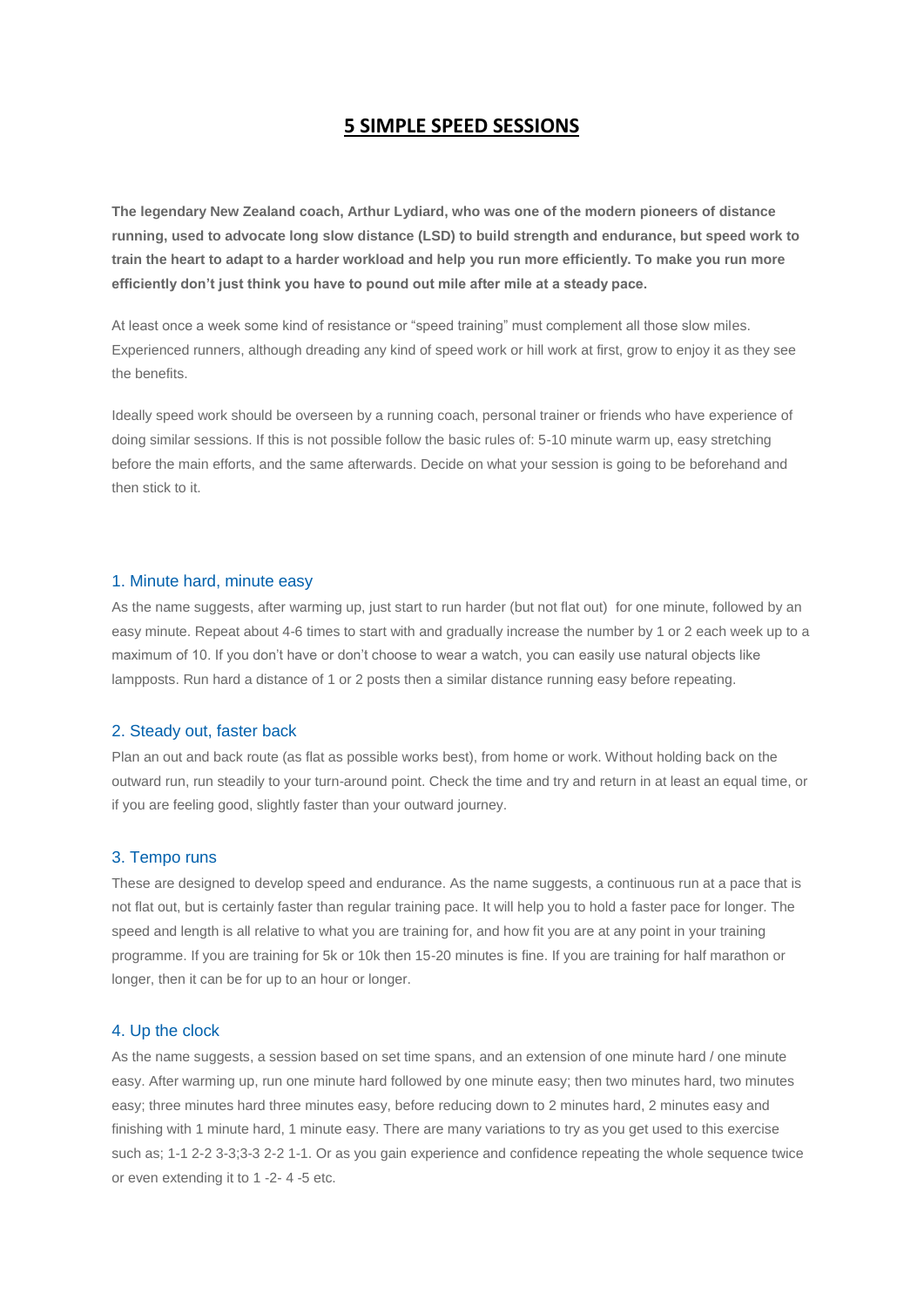# **5 SIMPLE SPEED SESSIONS**

**The legendary New Zealand coach, Arthur Lydiard, who was one of the modern pioneers of distance running, used to advocate long slow distance (LSD) to build strength and endurance, but speed work to train the heart to adapt to a harder workload and help you run more efficiently. To make you run more efficiently don't just think you have to pound out mile after mile at a steady pace.**

At least once a week some kind of resistance or "speed training" must complement all those slow miles. Experienced runners, although dreading any kind of speed work or hill work at first, grow to enjoy it as they see the benefits.

Ideally speed work should be overseen by a running coach, personal trainer or friends who have experience of doing similar sessions. If this is not possible follow the basic rules of: 5-10 minute warm up, easy stretching before the main efforts, and the same afterwards. Decide on what your session is going to be beforehand and then stick to it.

## 1. Minute hard, minute easy

As the name suggests, after warming up, just start to run harder (but not flat out) for one minute, followed by an easy minute. Repeat about 4-6 times to start with and gradually increase the number by 1 or 2 each week up to a maximum of 10. If you don"t have or don"t choose to wear a watch, you can easily use natural objects like lampposts. Run hard a distance of 1 or 2 posts then a similar distance running easy before repeating.

#### 2. Steady out, faster back

Plan an out and back route (as flat as possible works best), from home or work. Without holding back on the outward run, run steadily to your turn-around point. Check the time and try and return in at least an equal time, or if you are feeling good, slightly faster than your outward journey.

#### 3. Tempo runs

These are designed to develop speed and endurance. As the name suggests, a continuous run at a pace that is not flat out, but is certainly faster than regular training pace. It will help you to hold a faster pace for longer. The speed and length is all relative to what you are training for, and how fit you are at any point in your training programme. If you are training for 5k or 10k then 15-20 minutes is fine. If you are training for half marathon or longer, then it can be for up to an hour or longer.

## 4. Up the clock

As the name suggests, a session based on set time spans, and an extension of one minute hard / one minute easy. After warming up, run one minute hard followed by one minute easy; then two minutes hard, two minutes easy; three minutes hard three minutes easy, before reducing down to 2 minutes hard, 2 minutes easy and finishing with 1 minute hard, 1 minute easy. There are many variations to try as you get used to this exercise such as; 1-1 2-2 3-3;3-3 2-2 1-1. Or as you gain experience and confidence repeating the whole sequence twice or even extending it to 1 -2- 4 -5 etc.